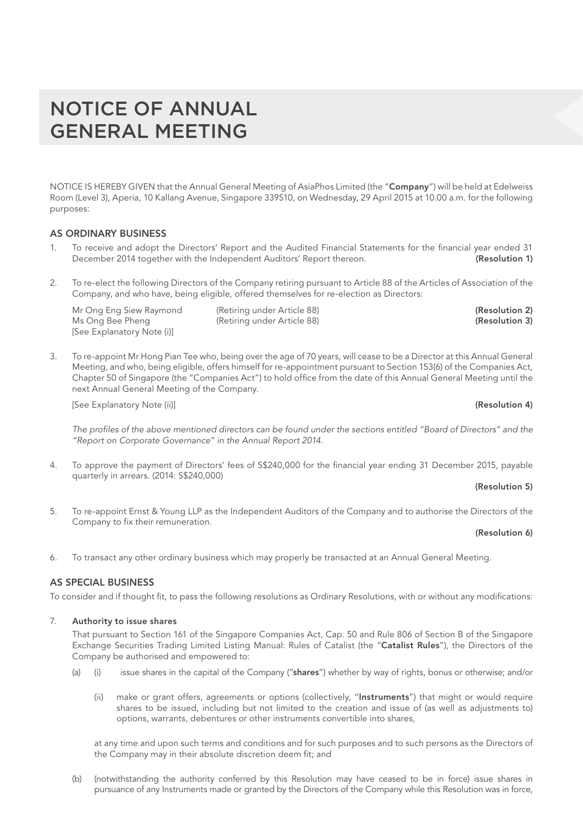NOTICE IS HEREBY GIVEN that the Annual General Meeting of AsiaPhos Limited (the "Company") will be held at Edelweiss Room (Level 3), Aperia, 10 Kallang Avenue, Singapore 339510, on Wednesday, 29 April 2015 at 10.00 a.m. for the following purposes:

## AS ORDINARY BUSINESS

- 1. To receive and adopt the Directors' Report and the Audited Financial Statements for the financial year ended 31 December 2014 together with the Independent Auditors' Report thereon. (Resolution 1)
- 2. To re-elect the following Directors of the Company retiring pursuant to Article 88 of the Articles of Association of the Company, and who have, being eligible, offered themselves for re-election as Directors:

Mr Ong Eng Siew Raymond (Retiring under Article 88) (Resolution 2) Ms Ong Bee Pheng (Retiring under Article 88) (Resolution 3) [See Explanatory Note (i)]

3. To re-appoint Mr Hong Pian Tee who, being over the age of 70 years, will cease to be a Director at this Annual General Meeting, and who, being eligible, offers himself for re-appointment pursuant to Section 153(6) of the Companies Act, Chapter 50 of Singapore (the "Companies Act") to hold office from the date of this Annual General Meeting until the next Annual General Meeting of the Company.

[See Explanatory Note (ii)] (Resolution 4)

*The profiles of the above mentioned directors can be found under the sections entitled "Board of Directors" and the "Report on Corporate Governance" in the Annual Report 2014.*

4. To approve the payment of Directors' fees of S\$240,000 for the financial year ending 31 December 2015, payable quarterly in arrears. (2014: S\$240,000)

## (Resolution 5)

5. To re-appoint Ernst & Young LLP as the Independent Auditors of the Company and to authorise the Directors of the Company to fix their remuneration.

## (Resolution 6)

6. To transact any other ordinary business which may properly be transacted at an Annual General Meeting.

# AS SPECIAL BUSINESS

To consider and if thought fit, to pass the following resolutions as Ordinary Resolutions, with or without any modifications:

## 7. Authority to issue shares

That pursuant to Section 161 of the Singapore Companies Act, Cap. 50 and Rule 806 of Section B of the Singapore Exchange Securities Trading Limited Listing Manual: Rules of Catalist (the "Catalist Rules"), the Directors of the Company be authorised and empowered to:

- (a) (i) issue shares in the capital of the Company ("shares") whether by way of rights, bonus or otherwise; and/or
	- (ii) make or grant offers, agreements or options (collectively, "Instruments") that might or would require shares to be issued, including but not limited to the creation and issue of (as well as adjustments to) options, warrants, debentures or other instruments convertible into shares,

at any time and upon such terms and conditions and for such purposes and to such persons as the Directors of the Company may in their absolute discretion deem fit; and

(b) (notwithstanding the authority conferred by this Resolution may have ceased to be in force) issue shares in pursuance of any Instruments made or granted by the Directors of the Company while this Resolution was in force,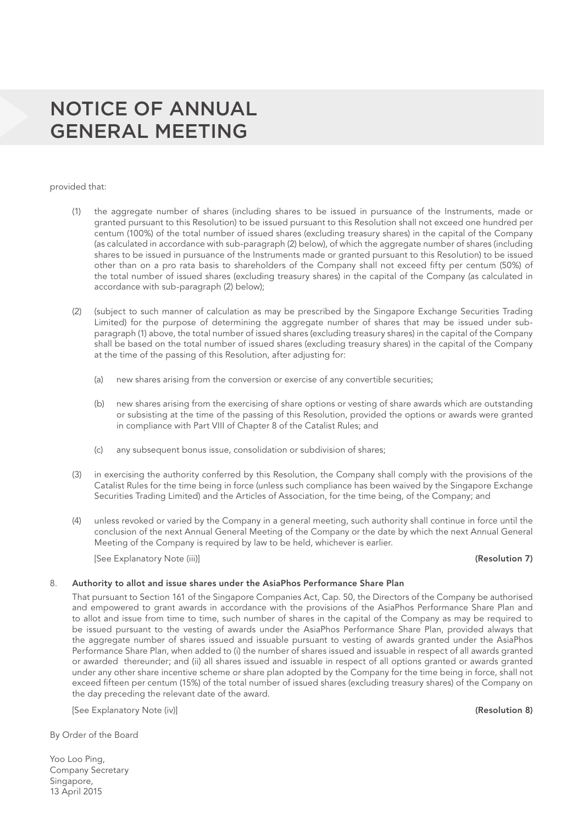provided that:

- (1) the aggregate number of shares (including shares to be issued in pursuance of the Instruments, made or granted pursuant to this Resolution) to be issued pursuant to this Resolution shall not exceed one hundred per centum (100%) of the total number of issued shares (excluding treasury shares) in the capital of the Company (as calculated in accordance with sub-paragraph (2) below), of which the aggregate number of shares (including shares to be issued in pursuance of the Instruments made or granted pursuant to this Resolution) to be issued other than on a pro rata basis to shareholders of the Company shall not exceed fifty per centum (50%) of the total number of issued shares (excluding treasury shares) in the capital of the Company (as calculated in accordance with sub-paragraph (2) below);
- (2) (subject to such manner of calculation as may be prescribed by the Singapore Exchange Securities Trading Limited) for the purpose of determining the aggregate number of shares that may be issued under subparagraph (1) above, the total number of issued shares (excluding treasury shares) in the capital of the Company shall be based on the total number of issued shares (excluding treasury shares) in the capital of the Company at the time of the passing of this Resolution, after adjusting for:
	- (a) new shares arising from the conversion or exercise of any convertible securities;
	- (b) new shares arising from the exercising of share options or vesting of share awards which are outstanding or subsisting at the time of the passing of this Resolution, provided the options or awards were granted in compliance with Part VIII of Chapter 8 of the Catalist Rules; and
	- (c) any subsequent bonus issue, consolidation or subdivision of shares;
- (3) in exercising the authority conferred by this Resolution, the Company shall comply with the provisions of the Catalist Rules for the time being in force (unless such compliance has been waived by the Singapore Exchange Securities Trading Limited) and the Articles of Association, for the time being, of the Company; and
- (4) unless revoked or varied by the Company in a general meeting, such authority shall continue in force until the conclusion of the next Annual General Meeting of the Company or the date by which the next Annual General Meeting of the Company is required by law to be held, whichever is earlier.

[See Explanatory Note (iii)] (Resolution 7)

### 8. Authority to allot and issue shares under the AsiaPhos Performance Share Plan

That pursuant to Section 161 of the Singapore Companies Act, Cap. 50, the Directors of the Company be authorised and empowered to grant awards in accordance with the provisions of the AsiaPhos Performance Share Plan and to allot and issue from time to time, such number of shares in the capital of the Company as may be required to be issued pursuant to the vesting of awards under the AsiaPhos Performance Share Plan, provided always that the aggregate number of shares issued and issuable pursuant to vesting of awards granted under the AsiaPhos Performance Share Plan, when added to (i) the number of shares issued and issuable in respect of all awards granted or awarded thereunder; and (ii) all shares issued and issuable in respect of all options granted or awards granted under any other share incentive scheme or share plan adopted by the Company for the time being in force, shall not exceed fifteen per centum (15%) of the total number of issued shares (excluding treasury shares) of the Company on the day preceding the relevant date of the award.

[See Explanatory Note (iv)] (Resolution 8)

By Order of the Board

Yoo Loo Ping, Company Secretary Singapore, 13 April 2015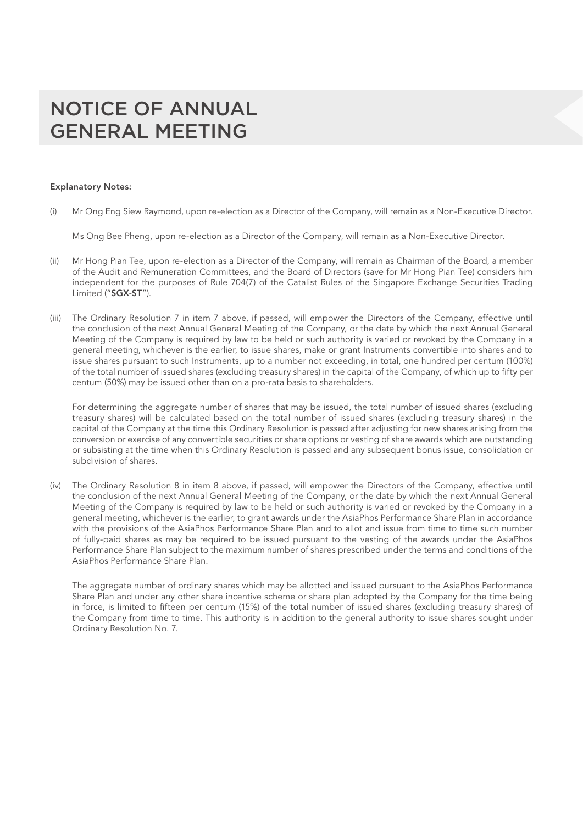### Explanatory Notes:

(i) Mr Ong Eng Siew Raymond, upon re-election as a Director of the Company, will remain as a Non-Executive Director.

Ms Ong Bee Pheng, upon re-election as a Director of the Company, will remain as a Non-Executive Director.

- (ii) Mr Hong Pian Tee, upon re-election as a Director of the Company, will remain as Chairman of the Board, a member of the Audit and Remuneration Committees, and the Board of Directors (save for Mr Hong Pian Tee) considers him independent for the purposes of Rule 704(7) of the Catalist Rules of the Singapore Exchange Securities Trading Limited ("SGX-ST").
- (iii) The Ordinary Resolution 7 in item 7 above, if passed, will empower the Directors of the Company, effective until the conclusion of the next Annual General Meeting of the Company, or the date by which the next Annual General Meeting of the Company is required by law to be held or such authority is varied or revoked by the Company in a general meeting, whichever is the earlier, to issue shares, make or grant Instruments convertible into shares and to issue shares pursuant to such Instruments, up to a number not exceeding, in total, one hundred per centum (100%) of the total number of issued shares (excluding treasury shares) in the capital of the Company, of which up to fifty per centum (50%) may be issued other than on a pro-rata basis to shareholders.

For determining the aggregate number of shares that may be issued, the total number of issued shares (excluding treasury shares) will be calculated based on the total number of issued shares (excluding treasury shares) in the capital of the Company at the time this Ordinary Resolution is passed after adjusting for new shares arising from the conversion or exercise of any convertible securities or share options or vesting of share awards which are outstanding or subsisting at the time when this Ordinary Resolution is passed and any subsequent bonus issue, consolidation or subdivision of shares.

(iv) The Ordinary Resolution 8 in item 8 above, if passed, will empower the Directors of the Company, effective until the conclusion of the next Annual General Meeting of the Company, or the date by which the next Annual General Meeting of the Company is required by law to be held or such authority is varied or revoked by the Company in a general meeting, whichever is the earlier, to grant awards under the AsiaPhos Performance Share Plan in accordance with the provisions of the AsiaPhos Performance Share Plan and to allot and issue from time to time such number of fully-paid shares as may be required to be issued pursuant to the vesting of the awards under the AsiaPhos Performance Share Plan subject to the maximum number of shares prescribed under the terms and conditions of the AsiaPhos Performance Share Plan.

The aggregate number of ordinary shares which may be allotted and issued pursuant to the AsiaPhos Performance Share Plan and under any other share incentive scheme or share plan adopted by the Company for the time being in force, is limited to fifteen per centum (15%) of the total number of issued shares (excluding treasury shares) of the Company from time to time. This authority is in addition to the general authority to issue shares sought under Ordinary Resolution No. 7.